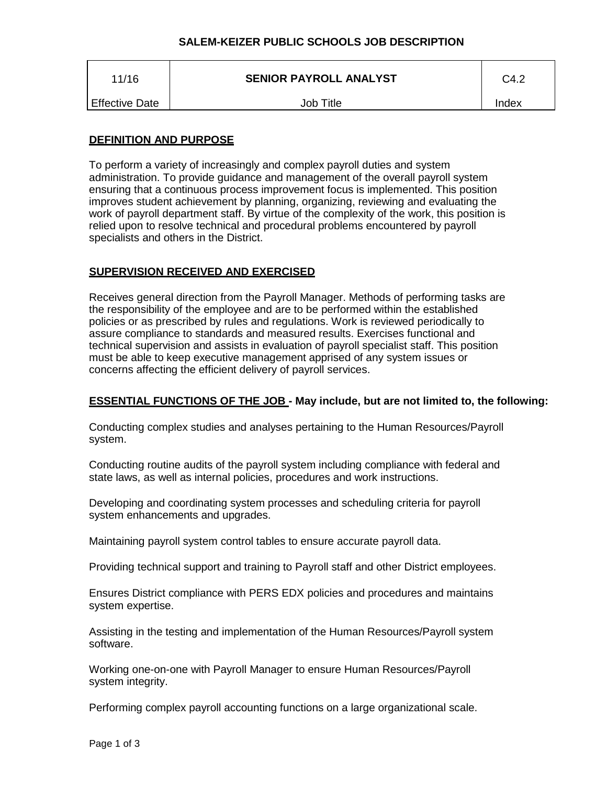# **SALEM-KEIZER PUBLIC SCHOOLS JOB DESCRIPTION**

| 11/16                 | <b>SENIOR PAYROLL ANALYST</b> | C4.2  |
|-----------------------|-------------------------------|-------|
| <b>Effective Date</b> | Job Title                     | Index |

## **DEFINITION AND PURPOSE**

To perform a variety of increasingly and complex payroll duties and system administration. To provide guidance and management of the overall payroll system ensuring that a continuous process improvement focus is implemented. This position improves student achievement by planning, organizing, reviewing and evaluating the work of payroll department staff. By virtue of the complexity of the work, this position is relied upon to resolve technical and procedural problems encountered by payroll specialists and others in the District.

## **SUPERVISION RECEIVED AND EXERCISED**

Receives general direction from the Payroll Manager. Methods of performing tasks are the responsibility of the employee and are to be performed within the established policies or as prescribed by rules and regulations. Work is reviewed periodically to assure compliance to standards and measured results. Exercises functional and technical supervision and assists in evaluation of payroll specialist staff. This position must be able to keep executive management apprised of any system issues or concerns affecting the efficient delivery of payroll services.

## **ESSENTIAL FUNCTIONS OF THE JOB - May include, but are not limited to, the following:**

Conducting complex studies and analyses pertaining to the Human Resources/Payroll system.

Conducting routine audits of the payroll system including compliance with federal and state laws, as well as internal policies, procedures and work instructions.

Developing and coordinating system processes and scheduling criteria for payroll system enhancements and upgrades.

Maintaining payroll system control tables to ensure accurate payroll data.

Providing technical support and training to Payroll staff and other District employees.

Ensures District compliance with PERS EDX policies and procedures and maintains system expertise.

Assisting in the testing and implementation of the Human Resources/Payroll system software.

Working one-on-one with Payroll Manager to ensure Human Resources/Payroll system integrity.

Performing complex payroll accounting functions on a large organizational scale.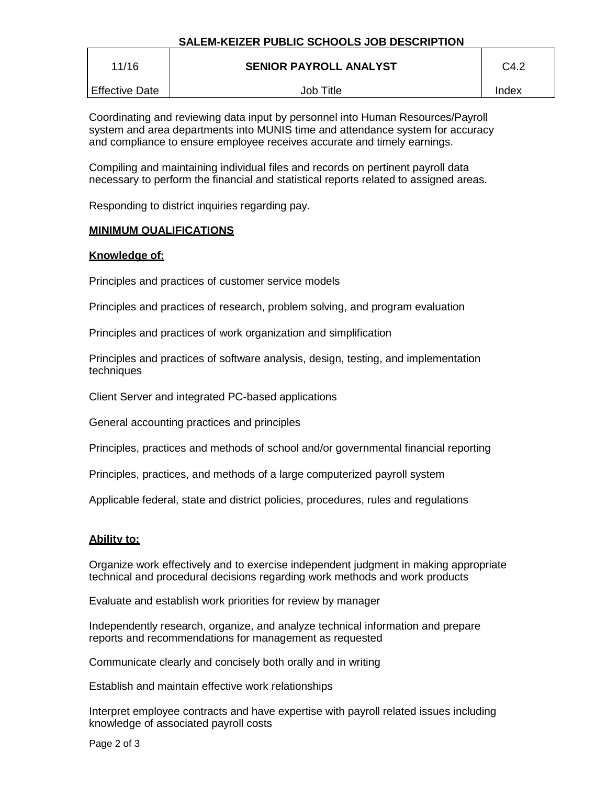| 11/16                 | <b>SENIOR PAYROLL ANALYST</b> | C4.2  |
|-----------------------|-------------------------------|-------|
| <b>Effective Date</b> | Job Title                     | Index |

Coordinating and reviewing data input by personnel into Human Resources/Payroll system and area departments into MUNIS time and attendance system for accuracy and compliance to ensure employee receives accurate and timely earnings.

Compiling and maintaining individual files and records on pertinent payroll data necessary to perform the financial and statistical reports related to assigned areas.

Responding to district inquiries regarding pay.

## **MINIMUM QUALIFICATIONS**

## **Knowledge of:**

Principles and practices of customer service models

Principles and practices of research, problem solving, and program evaluation

Principles and practices of work organization and simplification

Principles and practices of software analysis, design, testing, and implementation techniques

Client Server and integrated PC-based applications

General accounting practices and principles

Principles, practices and methods of school and/or governmental financial reporting

Principles, practices, and methods of a large computerized payroll system

Applicable federal, state and district policies, procedures, rules and regulations

## **Ability to:**

Organize work effectively and to exercise independent judgment in making appropriate technical and procedural decisions regarding work methods and work products

Evaluate and establish work priorities for review by manager

Independently research, organize, and analyze technical information and prepare reports and recommendations for management as requested

Communicate clearly and concisely both orally and in writing

Establish and maintain effective work relationships

Interpret employee contracts and have expertise with payroll related issues including knowledge of associated payroll costs